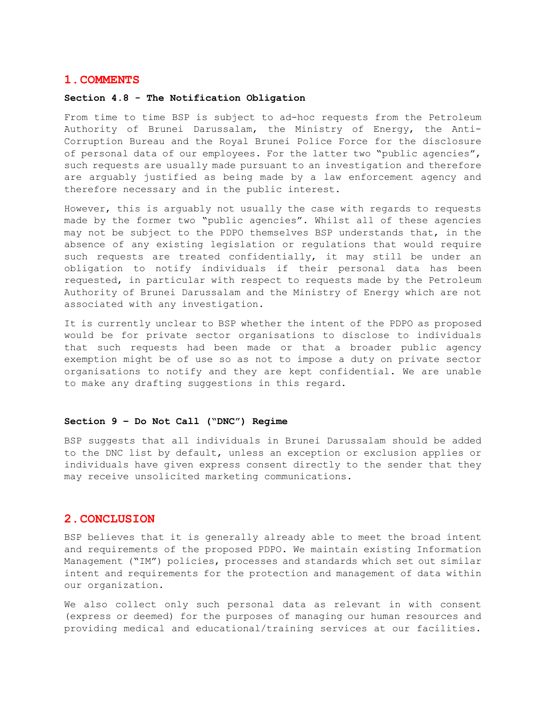## **1.COMMENTS**

## **Section 4.8 - The Notification Obligation**

From time to time BSP is subject to ad-hoc requests from the Petroleum Authority of Brunei Darussalam, the Ministry of Energy, the Anti-Corruption Bureau and the Royal Brunei Police Force for the disclosure of personal data of our employees. For the latter two "public agencies", such requests are usually made pursuant to an investigation and therefore are arguably justified as being made by a law enforcement agency and therefore necessary and in the public interest.

However, this is arguably not usually the case with regards to requests made by the former two "public agencies". Whilst all of these agencies may not be subject to the PDPO themselves BSP understands that, in the absence of any existing legislation or regulations that would require such requests are treated confidentially, it may still be under an obligation to notify individuals if their personal data has been requested, in particular with respect to requests made by the Petroleum Authority of Brunei Darussalam and the Ministry of Energy which are not associated with any investigation.

It is currently unclear to BSP whether the intent of the PDPO as proposed would be for private sector organisations to disclose to individuals that such requests had been made or that a broader public agency exemption might be of use so as not to impose a duty on private sector organisations to notify and they are kept confidential. We are unable to make any drafting suggestions in this regard.

## **Section 9 – Do Not Call ("DNC") Regime**

BSP suggests that all individuals in Brunei Darussalam should be added to the DNC list by default, unless an exception or exclusion applies or individuals have given express consent directly to the sender that they may receive unsolicited marketing communications.

## **2.CONCLUSION**

BSP believes that it is generally already able to meet the broad intent and requirements of the proposed PDPO. We maintain existing Information Management ("IM") policies, processes and standards which set out similar intent and requirements for the protection and management of data within our organization.

We also collect only such personal data as relevant in with consent (express or deemed) for the purposes of managing our human resources and providing medical and educational/training services at our facilities.